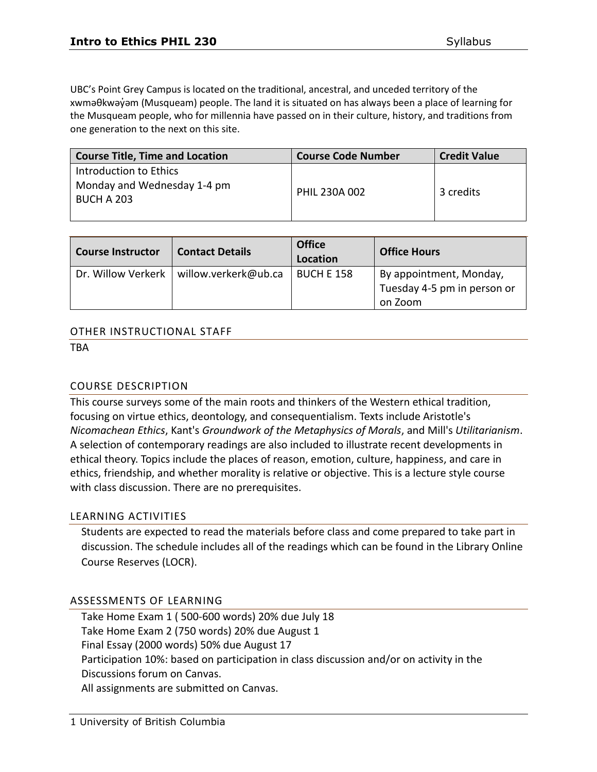UBC's Point Grey Campus is located on the traditional, ancestral, and unceded territory of the xwməθkwəy̓əm (Musqueam) people. The land it is situated on has always been a place of learning for the Musqueam people, who for millennia have passed on in their culture, history, and traditions from one generation to the next on this site.

| <b>Course Title, Time and Location</b>                                     | <b>Course Code Number</b> | <b>Credit Value</b> |
|----------------------------------------------------------------------------|---------------------------|---------------------|
| Introduction to Ethics<br>Monday and Wednesday 1-4 pm<br><b>BUCH A 203</b> | PHIL 230A 002             | 3 credits           |

| <b>Course Instructor</b> | <b>Contact Details</b> | <b>Office</b><br>Location | <b>Office Hours</b>         |
|--------------------------|------------------------|---------------------------|-----------------------------|
| Dr. Willow Verkerk       | willow.verkerk@ub.ca   | <b>BUCH E 158</b>         | By appointment, Monday,     |
|                          |                        |                           | Tuesday 4-5 pm in person or |
|                          |                        |                           | on Zoom                     |

#### OTHER INSTRUCTIONAL STAFF

TBA

## COURSE DESCRIPTION

This course surveys some of the main roots and thinkers of the Western ethical tradition, focusing on virtue ethics, deontology, and consequentialism. Texts include Aristotle's *Nicomachean Ethics*, Kant's *Groundwork of the Metaphysics of Morals*, and Mill's *Utilitarianism*. A selection of contemporary readings are also included to illustrate recent developments in ethical theory. Topics include the places of reason, emotion, culture, happiness, and care in ethics, friendship, and whether morality is relative or objective. This is a lecture style course with class discussion. There are no prerequisites.

### LEARNING ACTIVITIES

Students are expected to read the materials before class and come prepared to take part in discussion. The schedule includes all of the readings which can be found in the Library Online Course Reserves (LOCR).

### ASSESSMENTS OF LEARNING

Take Home Exam 1 ( 500-600 words) 20% due July 18 Take Home Exam 2 (750 words) 20% due August 1 Final Essay (2000 words) 50% due August 17 Participation 10%: based on participation in class discussion and/or on activity in the Discussions forum on Canvas. All assignments are submitted on Canvas.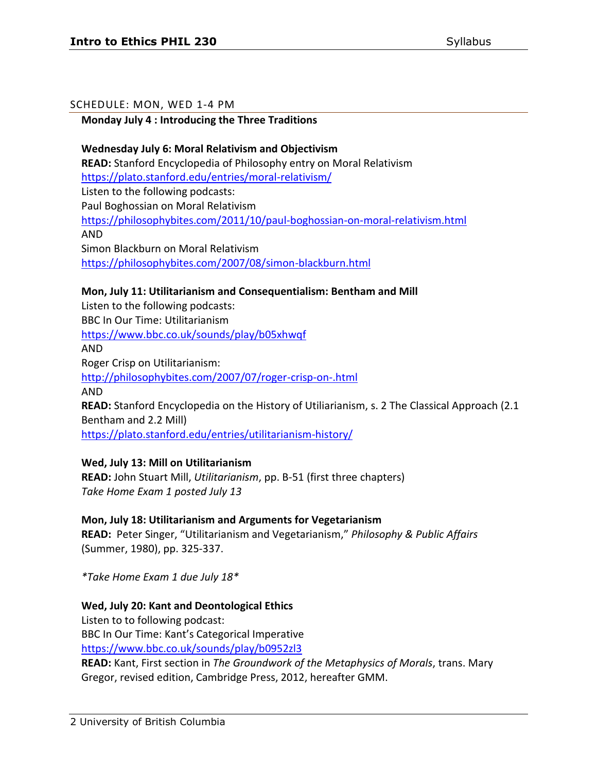### SCHEDULE: MON, WED 1-4 PM

## **Monday July 4 : Introducing the Three Traditions**

**Wednesday July 6: Moral Relativism and Objectivism READ:** Stanford Encyclopedia of Philosophy entry on Moral Relativism <https://plato.stanford.edu/entries/moral-relativism/> Listen to the following podcasts: Paul Boghossian on Moral Relativism <https://philosophybites.com/2011/10/paul-boghossian-on-moral-relativism.html> AND Simon Blackburn on Moral Relativism <https://philosophybites.com/2007/08/simon-blackburn.html>

## **Mon, July 11: Utilitarianism and Consequentialism: Bentham and Mill**

Listen to the following podcasts: BBC In Our Time: Utilitarianism <https://www.bbc.co.uk/sounds/play/b05xhwqf> AND Roger Crisp on Utilitarianism: <http://philosophybites.com/2007/07/roger-crisp-on-.html> AND **READ:** Stanford Encyclopedia on the History of Utiliarianism, s. 2 The Classical Approach (2.1 Bentham and 2.2 Mill) <https://plato.stanford.edu/entries/utilitarianism-history/>

### **Wed, July 13: Mill on Utilitarianism**

**READ:** John Stuart Mill, *Utilitarianism*, pp. B-51 (first three chapters) *Take Home Exam 1 posted July 13*

### **Mon, July 18: Utilitarianism and Arguments for Vegetarianism**

**READ:** Peter Singer, "Utilitarianism and Vegetarianism," *Philosophy & Public Affairs* (Summer, 1980), pp. 325-337.

*\*Take Home Exam 1 due July 18\**

### **Wed, July 20: Kant and Deontological Ethics**

Listen to to following podcast: BBC In Our Time: Kant's Categorical Imperative <https://www.bbc.co.uk/sounds/play/b0952zl3>

**READ:** Kant, First section in *The Groundwork of the Metaphysics of Morals*, trans. Mary Gregor, revised edition, Cambridge Press, 2012, hereafter GMM.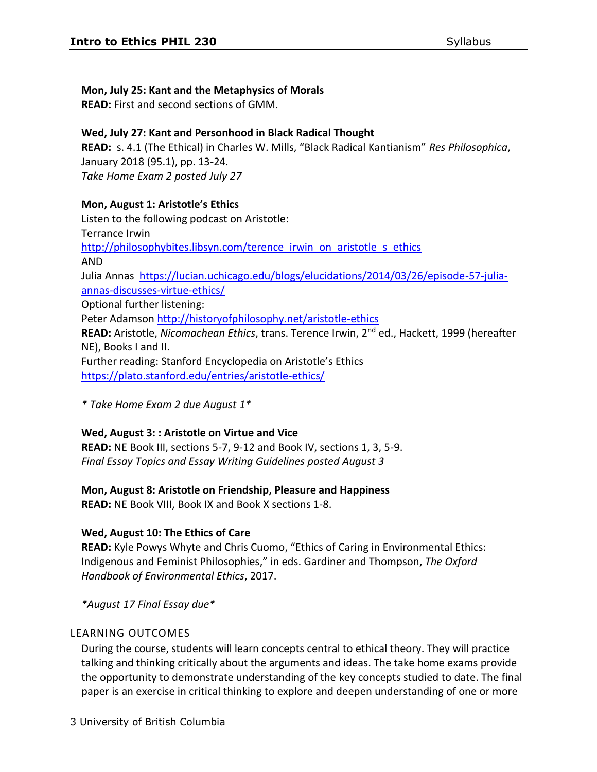## **Mon, July 25: Kant and the Metaphysics of Morals**

**READ:** First and second sections of GMM.

## **Wed, July 27: Kant and Personhood in Black Radical Thought**

**READ:** s. 4.1 (The Ethical) in Charles W. Mills, "Black Radical Kantianism" *Res Philosophica*, January 2018 (95.1), pp. 13-24. *Take Home Exam 2 posted July 27*

### **Mon, August 1: Aristotle's Ethics**

Listen to the following podcast on Aristotle: Terrance Irwin http://philosophybites.libsyn.com/terence irwin on aristotle s ethics AND Julia Annas [https://lucian.uchicago.edu/blogs/elucidations/2014/03/26/episode-57-julia](https://lucian.uchicago.edu/blogs/elucidations/2014/03/26/episode-57-julia-annas-discusses-virtue-ethics/)[annas-discusses-virtue-ethics/](https://lucian.uchicago.edu/blogs/elucidations/2014/03/26/episode-57-julia-annas-discusses-virtue-ethics/) Optional further listening: Peter Adamson<http://historyofphilosophy.net/aristotle-ethics> **READ:** Aristotle, *Nicomachean Ethics*, trans. Terence Irwin, 2nd ed., Hackett, 1999 (hereafter NE), Books I and II. Further reading: Stanford Encyclopedia on Aristotle's Ethics <https://plato.stanford.edu/entries/aristotle-ethics/>

*\* Take Home Exam 2 due August 1\**

### **Wed, August 3: : Aristotle on Virtue and Vice**

**READ:** NE Book III, sections 5-7, 9-12 and Book IV, sections 1, 3, 5-9. *Final Essay Topics and Essay Writing Guidelines posted August 3*

### **Mon, August 8: Aristotle on Friendship, Pleasure and Happiness**

**READ:** NE Book VIII, Book IX and Book X sections 1-8.

# **Wed, August 10: The Ethics of Care**

**READ:** Kyle Powys Whyte and Chris Cuomo, "Ethics of Caring in Environmental Ethics: Indigenous and Feminist Philosophies," in eds. Gardiner and Thompson, *The Oxford Handbook of Environmental Ethics*, 2017.

*\*August 17 Final Essay due\**

### LEARNING OUTCOMES

During the course, students will learn concepts central to ethical theory. They will practice talking and thinking critically about the arguments and ideas. The take home exams provide the opportunity to demonstrate understanding of the key concepts studied to date. The final paper is an exercise in critical thinking to explore and deepen understanding of one or more